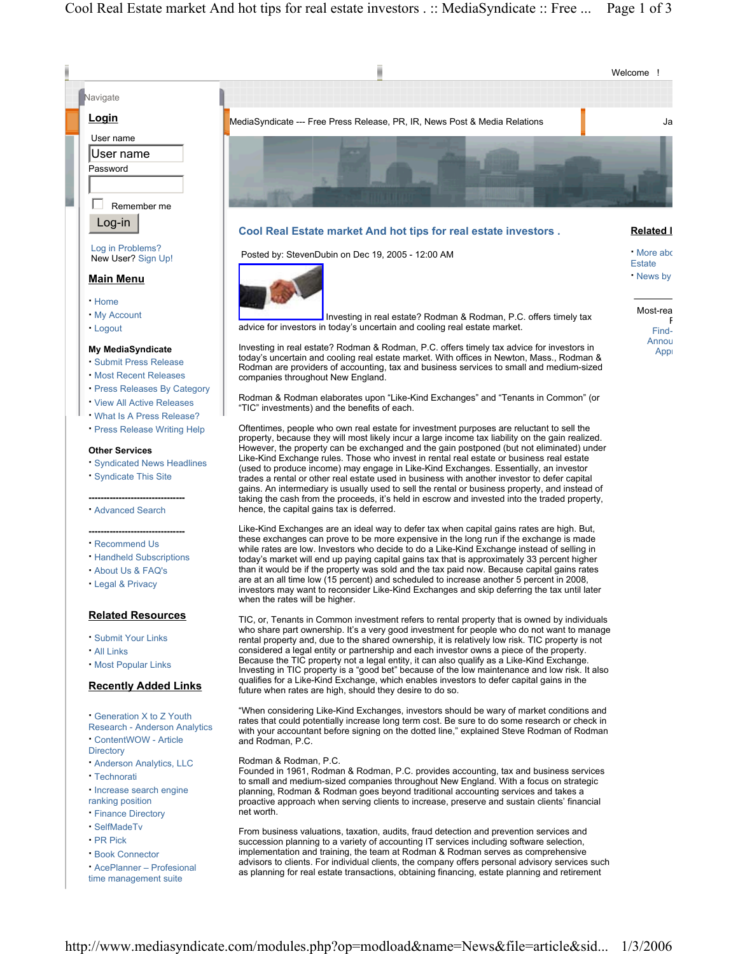